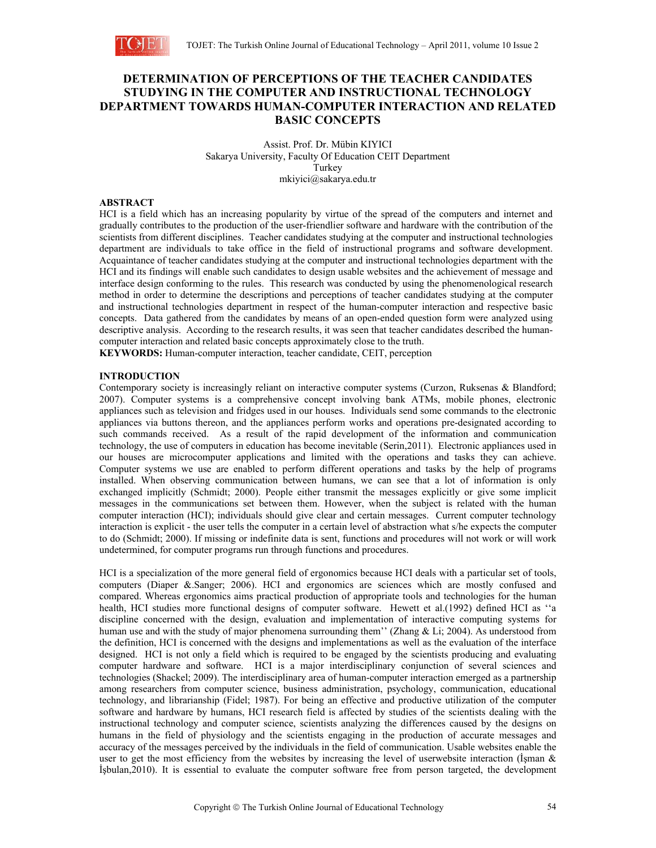

# **DETERMINATION OF PERCEPTIONS OF THE TEACHER CANDIDATES STUDYING IN THE COMPUTER AND INSTRUCTIONAL TECHNOLOGY DEPARTMENT TOWARDS HUMAN-COMPUTER INTERACTION AND RELATED BASIC CONCEPTS**

Assist. Prof. Dr. Mübin KIYICI Sakarya University, Faculty Of Education CEIT Department Turkey mkiyici@sakarya.edu.tr

## **ABSTRACT**

HCI is a field which has an increasing popularity by virtue of the spread of the computers and internet and gradually contributes to the production of the user-friendlier software and hardware with the contribution of the scientists from different disciplines. Teacher candidates studying at the computer and instructional technologies department are individuals to take office in the field of instructional programs and software development. Acquaintance of teacher candidates studying at the computer and instructional technologies department with the HCI and its findings will enable such candidates to design usable websites and the achievement of message and interface design conforming to the rules. This research was conducted by using the phenomenological research method in order to determine the descriptions and perceptions of teacher candidates studying at the computer and instructional technologies department in respect of the human-computer interaction and respective basic concepts. Data gathered from the candidates by means of an open-ended question form were analyzed using descriptive analysis. According to the research results, it was seen that teacher candidates described the humancomputer interaction and related basic concepts approximately close to the truth.

**KEYWORDS:** Human-computer interaction, teacher candidate, CEIT, perception

## **INTRODUCTION**

Contemporary society is increasingly reliant on interactive computer systems (Curzon, Ruksenas & Blandford; 2007). Computer systems is a comprehensive concept involving bank ATMs, mobile phones, electronic appliances such as television and fridges used in our houses. Individuals send some commands to the electronic appliances via buttons thereon, and the appliances perform works and operations pre-designated according to such commands received. As a result of the rapid development of the information and communication technology, the use of computers in education has become inevitable (Serin,2011). Electronic appliances used in our houses are microcomputer applications and limited with the operations and tasks they can achieve. Computer systems we use are enabled to perform different operations and tasks by the help of programs installed. When observing communication between humans, we can see that a lot of information is only exchanged implicitly (Schmidt; 2000). People either transmit the messages explicitly or give some implicit messages in the communications set between them. However, when the subject is related with the human computer interaction (HCI); individuals should give clear and certain messages. Current computer technology interaction is explicit - the user tells the computer in a certain level of abstraction what s/he expects the computer to do (Schmidt; 2000). If missing or indefinite data is sent, functions and procedures will not work or will work undetermined, for computer programs run through functions and procedures.

HCI is a specialization of the more general field of ergonomics because HCI deals with a particular set of tools, computers (Diaper &.Sanger; 2006). HCI and ergonomics are sciences which are mostly confused and compared. Whereas ergonomics aims practical production of appropriate tools and technologies for the human health, HCI studies more functional designs of computer software. Hewett et al.(1992) defined HCI as ''a discipline concerned with the design, evaluation and implementation of interactive computing systems for human use and with the study of major phenomena surrounding them'' (Zhang & Li; 2004). As understood from the definition, HCI is concerned with the designs and implementations as well as the evaluation of the interface designed. HCI is not only a field which is required to be engaged by the scientists producing and evaluating computer hardware and software. HCI is a major interdisciplinary conjunction of several sciences and technologies (Shackel; 2009). The interdisciplinary area of human-computer interaction emerged as a partnership among researchers from computer science, business administration, psychology, communication, educational technology, and librarianship (Fidel; 1987). For being an effective and productive utilization of the computer software and hardware by humans, HCI research field is affected by studies of the scientists dealing with the instructional technology and computer science, scientists analyzing the differences caused by the designs on humans in the field of physiology and the scientists engaging in the production of accurate messages and accuracy of the messages perceived by the individuals in the field of communication. Usable websites enable the user to get the most efficiency from the websites by increasing the level of userwebsite interaction (İşman & İşbulan,2010). It is essential to evaluate the computer software free from person targeted, the development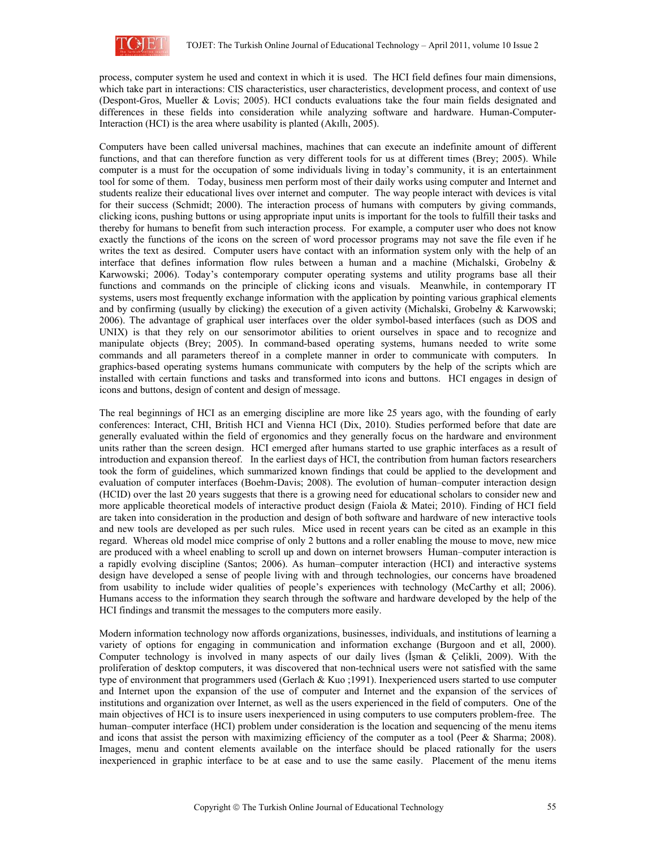

process, computer system he used and context in which it is used. The HCI field defines four main dimensions, which take part in interactions: CIS characteristics, user characteristics, development process, and context of use (Despont-Gros, Mueller & Lovis; 2005). HCI conducts evaluations take the four main fields designated and differences in these fields into consideration while analyzing software and hardware. Human-Computer-Interaction (HCI) is the area where usability is planted (Akıllı, 2005).

Computers have been called universal machines, machines that can execute an indefinite amount of different functions, and that can therefore function as very different tools for us at different times (Brey; 2005). While computer is a must for the occupation of some individuals living in today's community, it is an entertainment tool for some of them. Today, business men perform most of their daily works using computer and Internet and students realize their educational lives over internet and computer. The way people interact with devices is vital for their success (Schmidt; 2000). The interaction process of humans with computers by giving commands, clicking icons, pushing buttons or using appropriate input units is important for the tools to fulfill their tasks and thereby for humans to benefit from such interaction process. For example, a computer user who does not know exactly the functions of the icons on the screen of word processor programs may not save the file even if he writes the text as desired. Computer users have contact with an information system only with the help of an interface that defines information flow rules between a human and a machine (Michalski, Grobelny & Karwowski; 2006). Today's contemporary computer operating systems and utility programs base all their functions and commands on the principle of clicking icons and visuals. Meanwhile, in contemporary IT systems, users most frequently exchange information with the application by pointing various graphical elements and by confirming (usually by clicking) the execution of a given activity (Michalski, Grobelny & Karwowski; 2006). The advantage of graphical user interfaces over the older symbol-based interfaces (such as DOS and UNIX) is that they rely on our sensorimotor abilities to orient ourselves in space and to recognize and manipulate objects (Brey; 2005). In command-based operating systems, humans needed to write some commands and all parameters thereof in a complete manner in order to communicate with computers. In graphics-based operating systems humans communicate with computers by the help of the scripts which are installed with certain functions and tasks and transformed into icons and buttons. HCI engages in design of icons and buttons, design of content and design of message.

The real beginnings of HCI as an emerging discipline are more like 25 years ago, with the founding of early conferences: Interact, CHI, British HCI and Vienna HCI (Dix, 2010). Studies performed before that date are generally evaluated within the field of ergonomics and they generally focus on the hardware and environment units rather than the screen design. HCI emerged after humans started to use graphic interfaces as a result of introduction and expansion thereof. In the earliest days of HCI, the contribution from human factors researchers took the form of guidelines, which summarized known findings that could be applied to the development and evaluation of computer interfaces (Boehm-Davis; 2008). The evolution of human–computer interaction design (HCID) over the last 20 years suggests that there is a growing need for educational scholars to consider new and more applicable theoretical models of interactive product design (Faiola & Matei; 2010). Finding of HCI field are taken into consideration in the production and design of both software and hardware of new interactive tools and new tools are developed as per such rules. Mice used in recent years can be cited as an example in this regard. Whereas old model mice comprise of only 2 buttons and a roller enabling the mouse to move, new mice are produced with a wheel enabling to scroll up and down on internet browsers Human–computer interaction is a rapidly evolving discipline (Santos; 2006). As human–computer interaction (HCI) and interactive systems design have developed a sense of people living with and through technologies, our concerns have broadened from usability to include wider qualities of people's experiences with technology (McCarthy et all; 2006). Humans access to the information they search through the software and hardware developed by the help of the HCI findings and transmit the messages to the computers more easily.

Modern information technology now affords organizations, businesses, individuals, and institutions of learning a variety of options for engaging in communication and information exchange (Burgoon and et all, 2000). Computer technology is involved in many aspects of our daily lives (İşman & Çelikli, 2009). With the proliferation of desktop computers, it was discovered that non-technical users were not satisfied with the same type of environment that programmers used (Gerlach & Kuo ;1991). Inexperienced users started to use computer and Internet upon the expansion of the use of computer and Internet and the expansion of the services of institutions and organization over Internet, as well as the users experienced in the field of computers. One of the main objectives of HCI is to insure users inexperienced in using computers to use computers problem-free. The human–computer interface (HCI) problem under consideration is the location and sequencing of the menu items and icons that assist the person with maximizing efficiency of the computer as a tool (Peer & Sharma; 2008). Images, menu and content elements available on the interface should be placed rationally for the users inexperienced in graphic interface to be at ease and to use the same easily. Placement of the menu items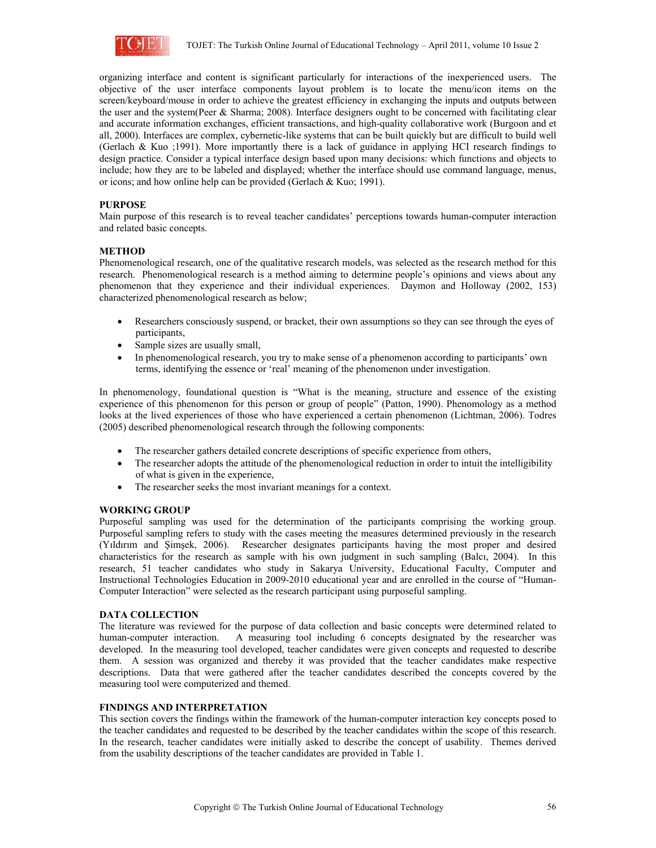

organizing interface and content is significant particularly for interactions of the inexperienced users. The objective of the user interface components layout problem is to locate the menu/icon items on the screen/keyboard/mouse in order to achieve the greatest efficiency in exchanging the inputs and outputs between the user and the system(Peer & Sharma; 2008). Interface designers ought to be concerned with facilitating clear and accurate information exchanges, efficient transactions, and high-quality collaborative work (Burgoon and et all, 2000). Interfaces are complex, cybernetic-like systems that can be built quickly but are difficult to build well (Gerlach & Kuo ;1991). More importantly there is a lack of guidance in applying HCI research findings to design practice. Consider a typical interface design based upon many decisions: which functions and objects to include; how they are to be labeled and displayed; whether the interface should use command language, menus, or icons; and how online help can be provided (Gerlach & Kuo; 1991).

#### **PURPOSE**

Main purpose of this research is to reveal teacher candidates' perceptions towards human-computer interaction and related basic concepts.

#### **METHOD**

Phenomenological research, one of the qualitative research models, was selected as the research method for this research. Phenomenological research is a method aiming to determine people's opinions and views about any phenomenon that they experience and their individual experiences. Daymon and Holloway (2002, 153) characterized phenomenological research as below;

- Researchers consciously suspend, or bracket, their own assumptions so they can see through the eyes of participants,
- Sample sizes are usually small,
- In phenomenological research, you try to make sense of a phenomenon according to participants' own terms, identifying the essence or 'real' meaning of the phenomenon under investigation.

In phenomenology, foundational question is "What is the meaning, structure and essence of the existing experience of this phenomenon for this person or group of people" (Patton, 1990). Phenomology as a method looks at the lived experiences of those who have experienced a certain phenomenon (Lichtman, 2006). Todres (2005) described phenomenological research through the following components:

- The researcher gathers detailed concrete descriptions of specific experience from others,
- The researcher adopts the attitude of the phenomenological reduction in order to intuit the intelligibility of what is given in the experience,
- The researcher seeks the most invariant meanings for a context.

#### **WORKING GROUP**

Purposeful sampling was used for the determination of the participants comprising the working group. Purposeful sampling refers to study with the cases meeting the measures determined previously in the research (Yıldırım and Şimşek, 2006). Researcher designates participants having the most proper and desired characteristics for the research as sample with his own judgment in such sampling (Balcı, 2004). In this research, 51 teacher candidates who study in Sakarya University, Educational Faculty, Computer and Instructional Technologies Education in 2009-2010 educational year and are enrolled in the course of "Human-Computer Interaction" were selected as the research participant using purposeful sampling.

#### **DATA COLLECTION**

The literature was reviewed for the purpose of data collection and basic concepts were determined related to human-computer interaction. A measuring tool including 6 concepts designated by the researcher was developed. In the measuring tool developed, teacher candidates were given concepts and requested to describe them. A session was organized and thereby it was provided that the teacher candidates make respective descriptions. Data that were gathered after the teacher candidates described the concepts covered by the measuring tool were computerized and themed.

#### **FINDINGS AND INTERPRETATION**

This section covers the findings within the framework of the human-computer interaction key concepts posed to the teacher candidates and requested to be described by the teacher candidates within the scope of this research. In the research, teacher candidates were initially asked to describe the concept of usability. Themes derived from the usability descriptions of the teacher candidates are provided in Table 1.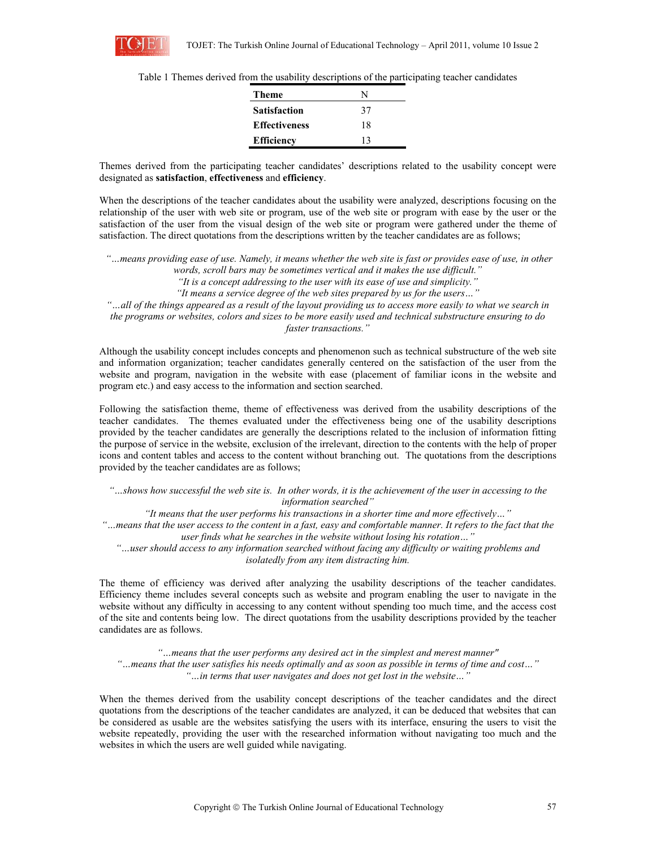

|  |  |  |  |  | Table 1 Themes derived from the usability descriptions of the participating teacher candidates |
|--|--|--|--|--|------------------------------------------------------------------------------------------------|
|  |  |  |  |  |                                                                                                |

| Theme                | N  |
|----------------------|----|
| <b>Satisfaction</b>  | 37 |
| <b>Effectiveness</b> | 18 |
| <b>Efficiency</b>    | 13 |

Themes derived from the participating teacher candidates' descriptions related to the usability concept were designated as **satisfaction**, **effectiveness** and **efficiency**.

When the descriptions of the teacher candidates about the usability were analyzed, descriptions focusing on the relationship of the user with web site or program, use of the web site or program with ease by the user or the satisfaction of the user from the visual design of the web site or program were gathered under the theme of satisfaction. The direct quotations from the descriptions written by the teacher candidates are as follows;

 *"…means providing ease of use. Namely, it means whether the web site is fast or provides ease of use, in other words, scroll bars may be sometimes vertical and it makes the use difficult." "It is a concept addressing to the user with its ease of use and simplicity." "It means a service degree of the web sites prepared by us for the users…" "…all of the things appeared as a result of the layout providing us to access more easily to what we search in* 

*the programs or websites, colors and sizes to be more easily used and technical substructure ensuring to do faster transactions."* 

Although the usability concept includes concepts and phenomenon such as technical substructure of the web site and information organization; teacher candidates generally centered on the satisfaction of the user from the website and program, navigation in the website with ease (placement of familiar icons in the website and program etc.) and easy access to the information and section searched.

Following the satisfaction theme, theme of effectiveness was derived from the usability descriptions of the teacher candidates. The themes evaluated under the effectiveness being one of the usability descriptions provided by the teacher candidates are generally the descriptions related to the inclusion of information fitting the purpose of service in the website, exclusion of the irrelevant, direction to the contents with the help of proper icons and content tables and access to the content without branching out. The quotations from the descriptions provided by the teacher candidates are as follows;

*"…shows how successful the web site is. In other words, it is the achievement of the user in accessing to the information searched"*

*"It means that the user performs his transactions in a shorter time and more effectively…" "…means that the user access to the content in a fast, easy and comfortable manner. It refers to the fact that the user finds what he searches in the website without losing his rotation…" "…user should access to any information searched without facing any difficulty or waiting problems and* 

*isolatedly from any item distracting him.* 

The theme of efficiency was derived after analyzing the usability descriptions of the teacher candidates. Efficiency theme includes several concepts such as website and program enabling the user to navigate in the website without any difficulty in accessing to any content without spending too much time, and the access cost of the site and contents being low. The direct quotations from the usability descriptions provided by the teacher candidates are as follows.

*"…means that the user performs any desired act in the simplest and merest manner" "…means that the user satisfies his needs optimally and as soon as possible in terms of time and cost…" "…in terms that user navigates and does not get lost in the website…"* 

When the themes derived from the usability concept descriptions of the teacher candidates and the direct quotations from the descriptions of the teacher candidates are analyzed, it can be deduced that websites that can be considered as usable are the websites satisfying the users with its interface, ensuring the users to visit the website repeatedly, providing the user with the researched information without navigating too much and the websites in which the users are well guided while navigating.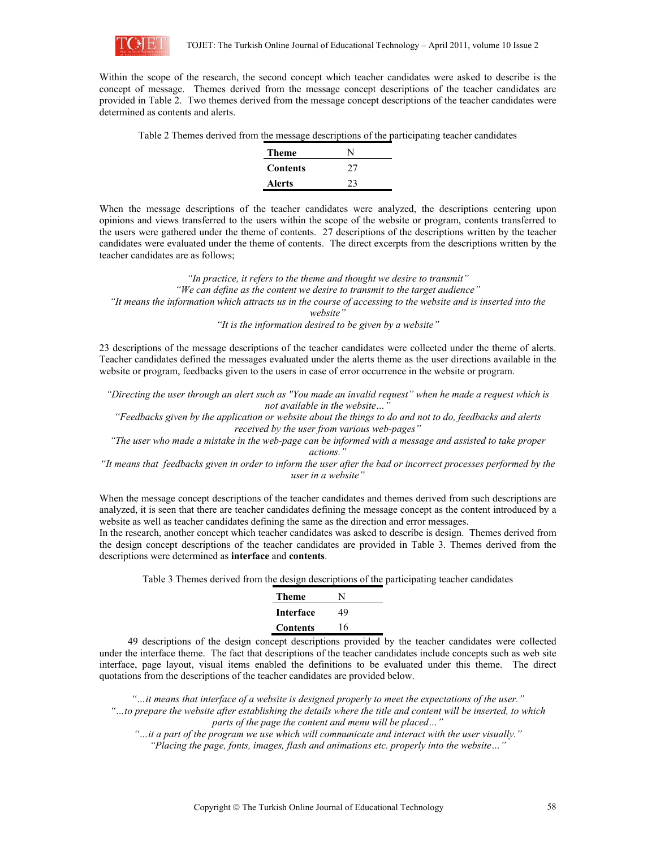

Within the scope of the research, the second concept which teacher candidates were asked to describe is the concept of message. Themes derived from the message concept descriptions of the teacher candidates are provided in Table 2. Two themes derived from the message concept descriptions of the teacher candidates were determined as contents and alerts.

| Table 2 Themes derived from the message descriptions of the participating teacher candidates |  |  |
|----------------------------------------------------------------------------------------------|--|--|
|                                                                                              |  |  |

| <b>Theme</b>    | N  |
|-----------------|----|
| <b>Contents</b> | 27 |
| <b>Alerts</b>   | 23 |

When the message descriptions of the teacher candidates were analyzed, the descriptions centering upon opinions and views transferred to the users within the scope of the website or program, contents transferred to the users were gathered under the theme of contents. 27 descriptions of the descriptions written by the teacher candidates were evaluated under the theme of contents. The direct excerpts from the descriptions written by the teacher candidates are as follows;

*"In practice, it refers to the theme and thought we desire to transmit" "We can define as the content we desire to transmit to the target audience" "It means the information which attracts us in the course of accessing to the website and is inserted into the website"* 

*"It is the information desired to be given by a website"* 

23 descriptions of the message descriptions of the teacher candidates were collected under the theme of alerts. Teacher candidates defined the messages evaluated under the alerts theme as the user directions available in the website or program, feedbacks given to the users in case of error occurrence in the website or program.

*"Directing the user through an alert such as "You made an invalid request" when he made a request which is not available in the website…"* 

*"Feedbacks given by the application or website about the things to do and not to do, feedbacks and alerts received by the user from various web-pages"* 

*"The user who made a mistake in the web-page can be informed with a message and assisted to take proper actions."* 

*"It means that feedbacks given in order to inform the user after the bad or incorrect processes performed by the user in a website"* 

When the message concept descriptions of the teacher candidates and themes derived from such descriptions are analyzed, it is seen that there are teacher candidates defining the message concept as the content introduced by a website as well as teacher candidates defining the same as the direction and error messages.

In the research, another concept which teacher candidates was asked to describe is design. Themes derived from the design concept descriptions of the teacher candidates are provided in Table 3. Themes derived from the descriptions were determined as **interface** and **contents**.

Table 3 Themes derived from the design descriptions of the participating teacher candidates

| Theme            | N  |
|------------------|----|
| <b>Interface</b> | 49 |
| Contents         | 16 |
|                  |    |

49 descriptions of the design concept descriptions provided by the teacher candidates were collected under the interface theme. The fact that descriptions of the teacher candidates include concepts such as web site interface, page layout, visual items enabled the definitions to be evaluated under this theme. The direct quotations from the descriptions of the teacher candidates are provided below.

*"…it means that interface of a website is designed properly to meet the expectations of the user." "…to prepare the website after establishing the details where the title and content will be inserted, to which parts of the page the content and menu will be placed…"* 

*"…it a part of the program we use which will communicate and interact with the user visually."* 

*"Placing the page, fonts, images, flash and animations etc. properly into the website…"*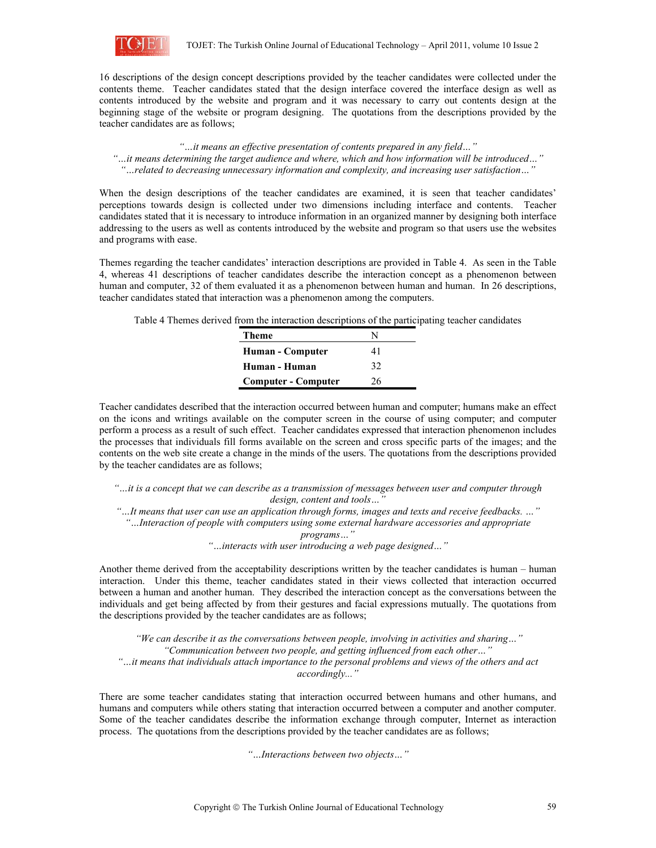

16 descriptions of the design concept descriptions provided by the teacher candidates were collected under the contents theme. Teacher candidates stated that the design interface covered the interface design as well as contents introduced by the website and program and it was necessary to carry out contents design at the beginning stage of the website or program designing. The quotations from the descriptions provided by the teacher candidates are as follows;

*"…it means an effective presentation of contents prepared in any field…" "…it means determining the target audience and where, which and how information will be introduced…" "…related to decreasing unnecessary information and complexity, and increasing user satisfaction…"* 

When the design descriptions of the teacher candidates are examined, it is seen that teacher candidates' perceptions towards design is collected under two dimensions including interface and contents. Teacher candidates stated that it is necessary to introduce information in an organized manner by designing both interface addressing to the users as well as contents introduced by the website and program so that users use the websites and programs with ease.

Themes regarding the teacher candidates' interaction descriptions are provided in Table 4. As seen in the Table 4, whereas 41 descriptions of teacher candidates describe the interaction concept as a phenomenon between human and computer, 32 of them evaluated it as a phenomenon between human and human. In 26 descriptions, teacher candidates stated that interaction was a phenomenon among the computers.

Table 4 Themes derived from the interaction descriptions of the participating teacher candidates

| Theme                      | N  |  |
|----------------------------|----|--|
| Human - Computer           | 41 |  |
| Human - Human              | 32 |  |
| <b>Computer - Computer</b> | 26 |  |

Teacher candidates described that the interaction occurred between human and computer; humans make an effect on the icons and writings available on the computer screen in the course of using computer; and computer perform a process as a result of such effect. Teacher candidates expressed that interaction phenomenon includes the processes that individuals fill forms available on the screen and cross specific parts of the images; and the contents on the web site create a change in the minds of the users. The quotations from the descriptions provided by the teacher candidates are as follows;

*"…it is a concept that we can describe as a transmission of messages between user and computer through design, content and tools…"* 

*"…It means that user can use an application through forms, images and texts and receive feedbacks. …"*

*"…Interaction of people with computers using some external hardware accessories and appropriate* 

*programs…"* 

*"…interacts with user introducing a web page designed…"* 

Another theme derived from the acceptability descriptions written by the teacher candidates is human – human interaction. Under this theme, teacher candidates stated in their views collected that interaction occurred between a human and another human. They described the interaction concept as the conversations between the individuals and get being affected by from their gestures and facial expressions mutually. The quotations from the descriptions provided by the teacher candidates are as follows;

 *"We can describe it as the conversations between people, involving in activities and sharing…" "Communication between two people, and getting influenced from each other…" "…it means that individuals attach importance to the personal problems and views of the others and act accordingly..."* 

There are some teacher candidates stating that interaction occurred between humans and other humans, and humans and computers while others stating that interaction occurred between a computer and another computer. Some of the teacher candidates describe the information exchange through computer, Internet as interaction process. The quotations from the descriptions provided by the teacher candidates are as follows;

*"…Interactions between two objects…"*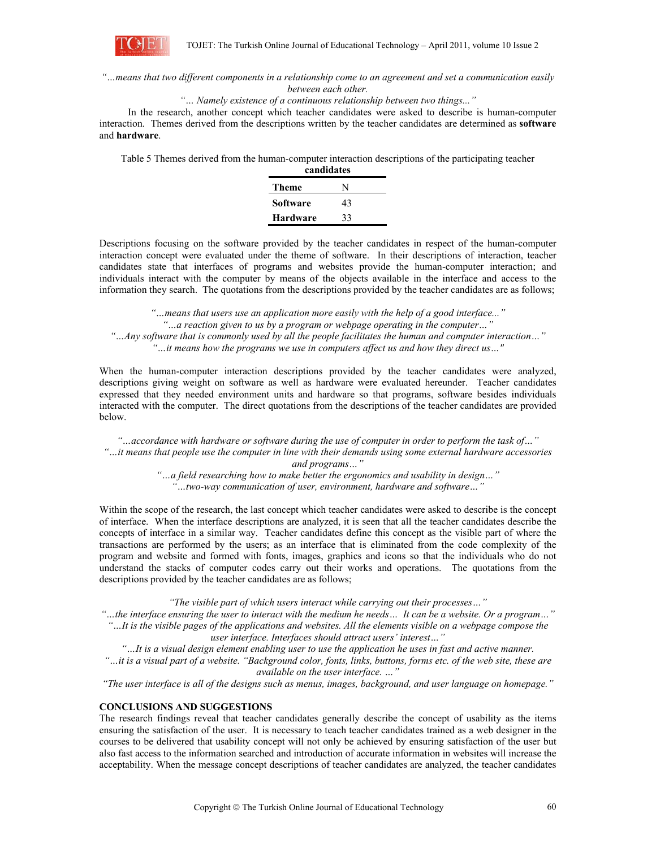

## *"…means that two different components in a relationship come to an agreement and set a communication easily between each other.*

## *"… Namely existence of a continuous relationship between two things..."*

In the research, another concept which teacher candidates were asked to describe is human-computer interaction. Themes derived from the descriptions written by the teacher candidates are determined as **software**  and **hardware**.

Table 5 Themes derived from the human-computer interaction descriptions of the participating teacher

| candidates |    |  |  |  |
|------------|----|--|--|--|
| Theme      | N  |  |  |  |
| Software   | 43 |  |  |  |
| Hardware   | 33 |  |  |  |

Descriptions focusing on the software provided by the teacher candidates in respect of the human-computer interaction concept were evaluated under the theme of software. In their descriptions of interaction, teacher candidates state that interfaces of programs and websites provide the human-computer interaction; and individuals interact with the computer by means of the objects available in the interface and access to the information they search. The quotations from the descriptions provided by the teacher candidates are as follows;

*"…means that users use an application more easily with the help of a good interface..." "…a reaction given to us by a program or webpage operating in the computer…" "…Any software that is commonly used by all the people facilitates the human and computer interaction…" "…it means how the programs we use in computers affect us and how they direct us…"* 

When the human-computer interaction descriptions provided by the teacher candidates were analyzed, descriptions giving weight on software as well as hardware were evaluated hereunder. Teacher candidates expressed that they needed environment units and hardware so that programs, software besides individuals interacted with the computer. The direct quotations from the descriptions of the teacher candidates are provided below.

*"…accordance with hardware or software during the use of computer in order to perform the task of…" "…it means that people use the computer in line with their demands using some external hardware accessories and programs…"* 

*"…a field researching how to make better the ergonomics and usability in design…" "…two-way communication of user, environment, hardware and software…"* 

Within the scope of the research, the last concept which teacher candidates were asked to describe is the concept of interface. When the interface descriptions are analyzed, it is seen that all the teacher candidates describe the concepts of interface in a similar way. Teacher candidates define this concept as the visible part of where the transactions are performed by the users; as an interface that is eliminated from the code complexity of the program and website and formed with fonts, images, graphics and icons so that the individuals who do not understand the stacks of computer codes carry out their works and operations. The quotations from the descriptions provided by the teacher candidates are as follows;

*"The visible part of which users interact while carrying out their processes…"* 

*"…the interface ensuring the user to interact with the medium he needs… It can be a website. Or a program…" "…It is the visible pages of the applications and websites. All the elements visible on a webpage compose the* 

*user interface. Interfaces should attract users' interest…"*

*"…It is a visual design element enabling user to use the application he uses in fast and active manner.* 

*"…it is a visual part of a website. "Background color, fonts, links, buttons, forms etc. of the web site, these are available on the user interface. …"*

*"The user interface is all of the designs such as menus, images, background, and user language on homepage."* 

#### **CONCLUSIONS AND SUGGESTIONS**

The research findings reveal that teacher candidates generally describe the concept of usability as the items ensuring the satisfaction of the user. It is necessary to teach teacher candidates trained as a web designer in the courses to be delivered that usability concept will not only be achieved by ensuring satisfaction of the user but also fast access to the information searched and introduction of accurate information in websites will increase the acceptability. When the message concept descriptions of teacher candidates are analyzed, the teacher candidates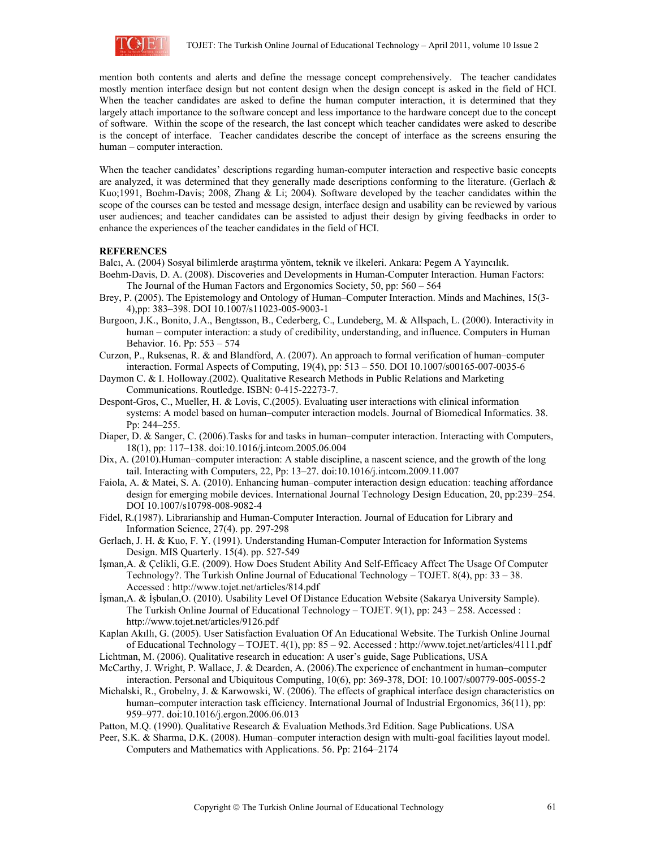

mention both contents and alerts and define the message concept comprehensively. The teacher candidates mostly mention interface design but not content design when the design concept is asked in the field of HCI. When the teacher candidates are asked to define the human computer interaction, it is determined that they largely attach importance to the software concept and less importance to the hardware concept due to the concept of software. Within the scope of the research, the last concept which teacher candidates were asked to describe is the concept of interface. Teacher candidates describe the concept of interface as the screens ensuring the human – computer interaction.

When the teacher candidates' descriptions regarding human-computer interaction and respective basic concepts are analyzed, it was determined that they generally made descriptions conforming to the literature. (Gerlach & Kuo;1991, Boehm-Davis; 2008, Zhang & Li; 2004). Software developed by the teacher candidates within the scope of the courses can be tested and message design, interface design and usability can be reviewed by various user audiences; and teacher candidates can be assisted to adjust their design by giving feedbacks in order to enhance the experiences of the teacher candidates in the field of HCI.

#### **REFERENCES**

Balcı, A. (2004) Sosyal bilimlerde araştırma yöntem, teknik ve ilkeleri. Ankara: Pegem A Yayıncılık.

- Boehm-Davis, D. A. (2008). Discoveries and Developments in Human-Computer Interaction. Human Factors: The Journal of the Human Factors and Ergonomics Society, 50, pp: 560 – 564
- Brey, P. (2005). The Epistemology and Ontology of Human–Computer Interaction. Minds and Machines, 15(3- 4),pp: 383–398. DOI 10.1007/s11023-005-9003-1
- Burgoon, J.K., Bonito, J.A., Bengtsson, B., Cederberg, C., Lundeberg, M. & Allspach, L. (2000). Interactivity in human – computer interaction: a study of credibility, understanding, and influence. Computers in Human Behavior. 16. Pp: 553 – 574
- Curzon, P., Ruksenas, R. & and Blandford, A. (2007). An approach to formal verification of human–computer interaction. Formal Aspects of Computing, 19(4), pp: 513 – 550. DOI 10.1007/s00165-007-0035-6
- Daymon C. & I. Holloway.(2002). Qualitative Research Methods in Public Relations and Marketing Communications. Routledge. ISBN: 0-415-22273-7.
- Despont-Gros, C., Mueller, H. & Lovis, C.(2005). Evaluating user interactions with clinical information systems: A model based on human–computer interaction models. Journal of Biomedical Informatics. 38. Pp: 244–255.
- Diaper, D. & Sanger, C. (2006). Tasks for and tasks in human–computer interaction. Interacting with Computers, 18(1), pp: 117–138. doi:10.1016/j.intcom.2005.06.004
- Dix, A. (2010).Human–computer interaction: A stable discipline, a nascent science, and the growth of the long tail. Interacting with Computers, 22, Pp: 13–27. doi:10.1016/j.intcom.2009.11.007
- Faiola, A. & Matei, S. A. (2010). Enhancing human–computer interaction design education: teaching affordance design for emerging mobile devices. International Journal Technology Design Education, 20, pp:239–254. DOI 10.1007/s10798-008-9082-4
- Fidel, R.(1987). Librarianship and Human-Computer Interaction. Journal of Education for Library and Information Science, 27(4). pp. 297-298
- Gerlach, J. H. & Kuo, F. Y. (1991). Understanding Human-Computer Interaction for Information Systems Design. MIS Quarterly. 15(4). pp. 527-549
- İşman,A. & Çelikli, G.E. (2009). How Does Student Ability And Self-Efficacy Affect The Usage Of Computer Technology?. The Turkish Online Journal of Educational Technology – TOJET. 8(4), pp: 33 – 38. Accessed : http://www.tojet.net/articles/814.pdf
- İşman,A. & İşbulan,O. (2010). Usability Level Of Distance Education Website (Sakarya University Sample). The Turkish Online Journal of Educational Technology – TOJET. 9(1), pp: 243 – 258. Accessed : http://www.tojet.net/articles/9126.pdf
- Kaplan Akıllı, G. (2005). User Satisfaction Evaluation Of An Educational Website. The Turkish Online Journal of Educational Technology – TOJET. 4(1), pp: 85 – 92. Accessed : http://www.tojet.net/articles/4111.pdf
- Lichtman, M. (2006). Qualitative research in education: A user's guide, Sage Publications, USA
- McCarthy, J. Wright, P. Wallace, J. & Dearden, A. (2006).The experience of enchantment in human–computer interaction. Personal and Ubiquitous Computing, 10(6), pp: 369-378, DOI: 10.1007/s00779-005-0055-2
- Michalski, R., Grobelny, J. & Karwowski, W. (2006). The effects of graphical interface design characteristics on human–computer interaction task efficiency. International Journal of Industrial Ergonomics, 36(11), pp: 959–977. doi:10.1016/j.ergon.2006.06.013
- Patton, M.Q. (1990). Qualitative Research & Evaluation Methods.3rd Edition. Sage Publications. USA
- Peer, S.K. & Sharma, D.K. (2008). Human–computer interaction design with multi-goal facilities layout model. Computers and Mathematics with Applications. 56. Pp: 2164–2174